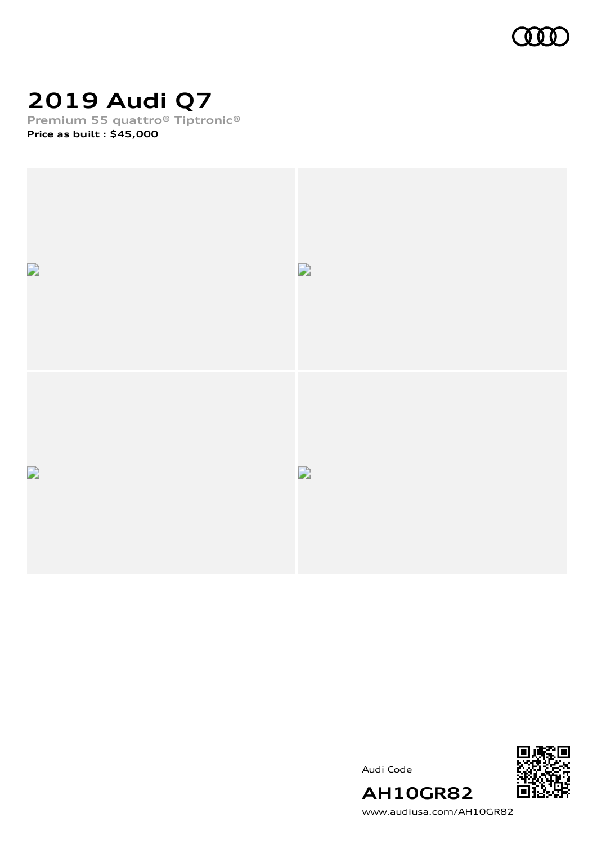

# **2019 Audi Q7**

**Premium 55 quattro® Tiptronic®**

**Price as built [:](#page-10-0) \$45,000**







[www.audiusa.com/AH10GR82](https://www.audiusa.com/AH10GR82)

**AH10GR82**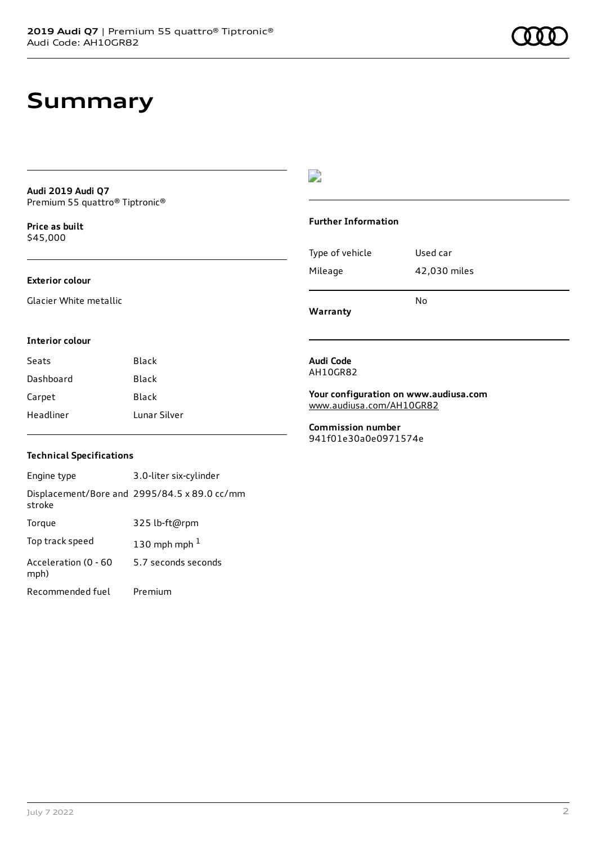### **Summary**

**Audi 2019 Audi Q7** Premium 55 quattro® Tiptronic®

**Price as buil[t](#page-10-0)** \$45,000

#### **Exterior colour**

Glacier White metallic

### $\overline{\phantom{a}}$

#### **Further Information**

|                 | N٥           |
|-----------------|--------------|
| Mileage         | 42,030 miles |
| Type of vehicle | Used car     |

**Warranty**

#### **Interior colour**

| Seats     | Black        |
|-----------|--------------|
| Dashboard | Black        |
| Carpet    | Black        |
| Headliner | Lunar Silver |

### **Technical Specifications**

| Engine type                  | 3.0-liter six-cylinder                       |
|------------------------------|----------------------------------------------|
| stroke                       | Displacement/Bore and 2995/84.5 x 89.0 cc/mm |
| Torque                       | 325 lb-ft@rpm                                |
| Top track speed              | 130 mph mph $1$                              |
| Acceleration (0 - 60<br>mph) | 5.7 seconds seconds                          |
| Recommended fuel             | Premium                                      |

#### **Audi Code** AH10GR82

**Your configuration on www.audiusa.com** [www.audiusa.com/AH10GR82](https://www.audiusa.com/AH10GR82)

**Commission number** 941f01e30a0e0971574e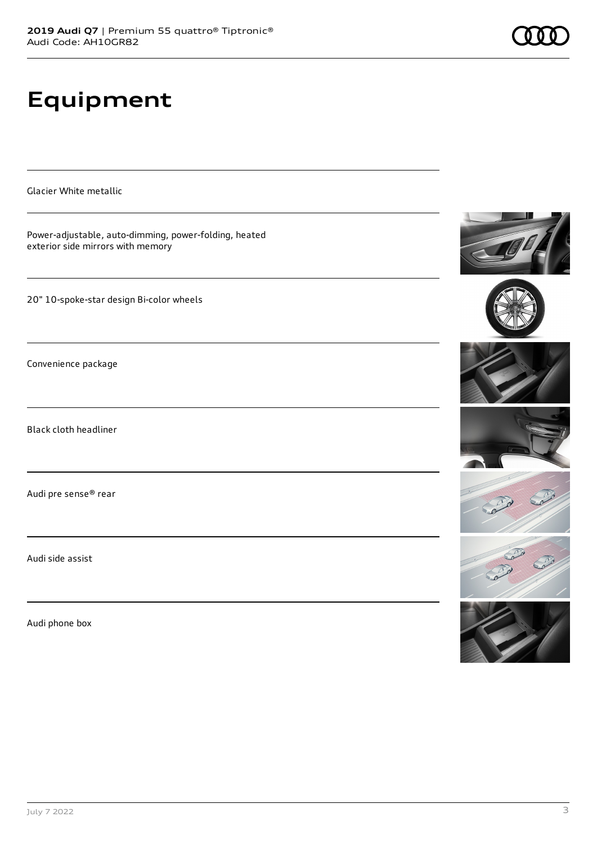# **Equipment**

Glacier White metallic

Power-adjustable, auto-dimming, power-folding, heated exterior side mirrors with memory

20" 10-spoke-star design Bi-color wheels

Convenience package

Black cloth headliner

Audi pre sense® rear

Audi side assist

Audi phone box













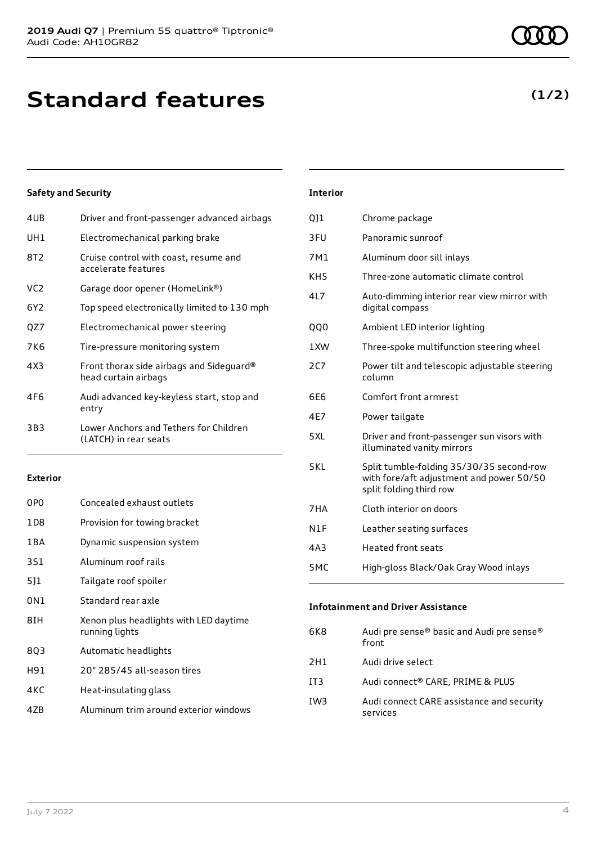| 4UB             | Driver and front-passenger advanced airbags                      |
|-----------------|------------------------------------------------------------------|
| UH1             | Electromechanical parking brake                                  |
| 8T2             | Cruise control with coast, resume and<br>accelerate features     |
| VC <sub>2</sub> | Garage door opener (HomeLink®)                                   |
| 6Y2             | Top speed electronically limited to 130 mph                      |
| QZ7             | Electromechanical power steering                                 |
| 7K6             | Tire-pressure monitoring system                                  |
| 4X3             | Front thorax side airbags and Sideguard®<br>head curtain airbags |
| 4F6             | Audi advanced key-keyless start, stop and<br>entry               |
| 3B3             | Lower Anchors and Tethers for Children<br>(LATCH) in rear seats  |
|                 |                                                                  |

### **Exterior**

| 0P <sub>0</sub> | Concealed exhaust outlets                                |
|-----------------|----------------------------------------------------------|
| 1D8             | Provision for towing bracket                             |
| 1 B A           | Dynamic suspension system                                |
| 3S1             | Aluminum roof rails                                      |
| 511             | Tailgate roof spoiler                                    |
| 0N1             | Standard rear axle                                       |
| 8IH             | Xenon plus headlights with LED daytime<br>running lights |
| 8Q3             | Automatic headlights                                     |
| H91             | 20" 285/45 all-season tires                              |
| 4KC             | Heat-insulating glass                                    |
| 47B             | Aluminum trim around exterior windows                    |

### **Interior**

| QJ1             | Chrome package                                                                                                  |
|-----------------|-----------------------------------------------------------------------------------------------------------------|
| 3FU             | Panoramic sunroof                                                                                               |
| 7M1             | Aluminum door sill inlays                                                                                       |
| KH <sub>5</sub> | Three-zone automatic climate control                                                                            |
| 4L7             | Auto-dimming interior rear view mirror with<br>digital compass                                                  |
| QQ0             | Ambient LED interior lighting                                                                                   |
| 1XW             | Three-spoke multifunction steering wheel                                                                        |
| 2C7             | Power tilt and telescopic adjustable steering<br>column                                                         |
| 6E6             | Comfort front armrest                                                                                           |
| 4E7             | Power tailgate                                                                                                  |
| 5XL             | Driver and front-passenger sun visors with<br>illuminated vanity mirrors                                        |
| 5KL             | Split tumble-folding 35/30/35 second-row<br>with fore/aft adjustment and power 50/50<br>split folding third row |
| 7HA             | Cloth interior on doors                                                                                         |
| N1F             | Leather seating surfaces                                                                                        |
| 4A3             | <b>Heated front seats</b>                                                                                       |
| 5MC             | High-gloss Black/Oak Gray Wood inlays                                                                           |
|                 |                                                                                                                 |

### **Infotainment and Driver Assistance**

| 6K8 | Audi pre sense® basic and Audi pre sense®<br>front    |
|-----|-------------------------------------------------------|
| 2H1 | Audi drive select                                     |
| IT3 | Audi connect® CARE, PRIME & PLUS                      |
| IW3 | Audi connect CARE assistance and security<br>services |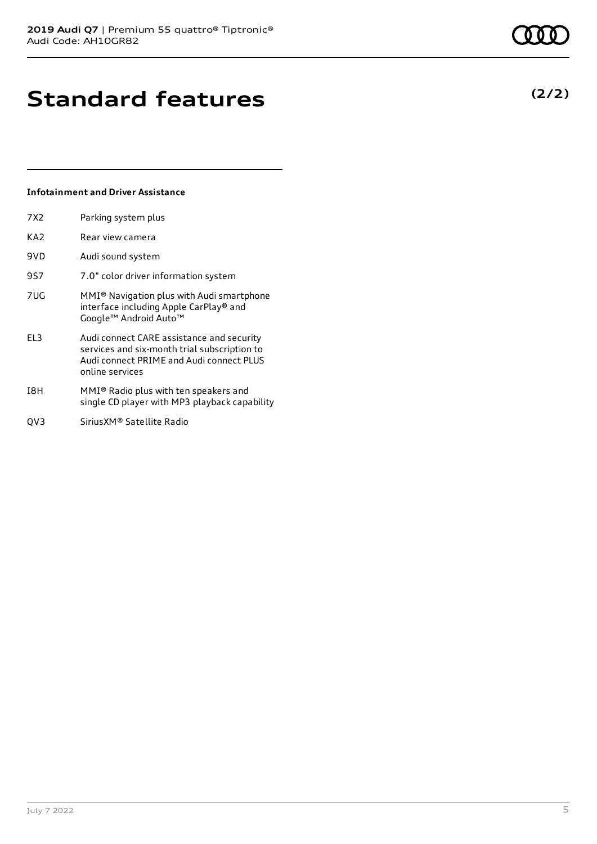## **Standard features**

### **Infotainment and Driver Assistance**

7X2 Parking system plus

| KA2 | Rear view camera                                                                                                                                                                                                                                                                                                                                                                                                                                                                                                                    |
|-----|-------------------------------------------------------------------------------------------------------------------------------------------------------------------------------------------------------------------------------------------------------------------------------------------------------------------------------------------------------------------------------------------------------------------------------------------------------------------------------------------------------------------------------------|
| 9VD | Audi sound system                                                                                                                                                                                                                                                                                                                                                                                                                                                                                                                   |
| 9S7 | 7.0" color driver information system                                                                                                                                                                                                                                                                                                                                                                                                                                                                                                |
| 7UG | MMI <sup>®</sup> Navigation plus with Audi smartphone<br>interface including Apple CarPlay® and<br>Google™ Android Auto™                                                                                                                                                                                                                                                                                                                                                                                                            |
| EL3 | Audi connect CARE assistance and security<br>services and six-month trial subscription to<br>Audi connect PRIME and Audi connect PLUS<br>online services                                                                                                                                                                                                                                                                                                                                                                            |
| 18H | MMI® Radio plus with ten speakers and<br>$\blacksquare$ $\blacksquare$ $\blacksquare$ $\blacksquare$ $\blacksquare$ $\blacksquare$ $\blacksquare$ $\blacksquare$ $\blacksquare$ $\blacksquare$ $\blacksquare$ $\blacksquare$ $\blacksquare$ $\blacksquare$ $\blacksquare$ $\blacksquare$ $\blacksquare$ $\blacksquare$ $\blacksquare$ $\blacksquare$ $\blacksquare$ $\blacksquare$ $\blacksquare$ $\blacksquare$ $\blacksquare$ $\blacksquare$ $\blacksquare$ $\blacksquare$ $\blacksquare$ $\blacksquare$ $\blacksquare$ $\blacks$ |

- single CD player with MP3 playback capability
- QV3 SiriusXM® Satellite Radio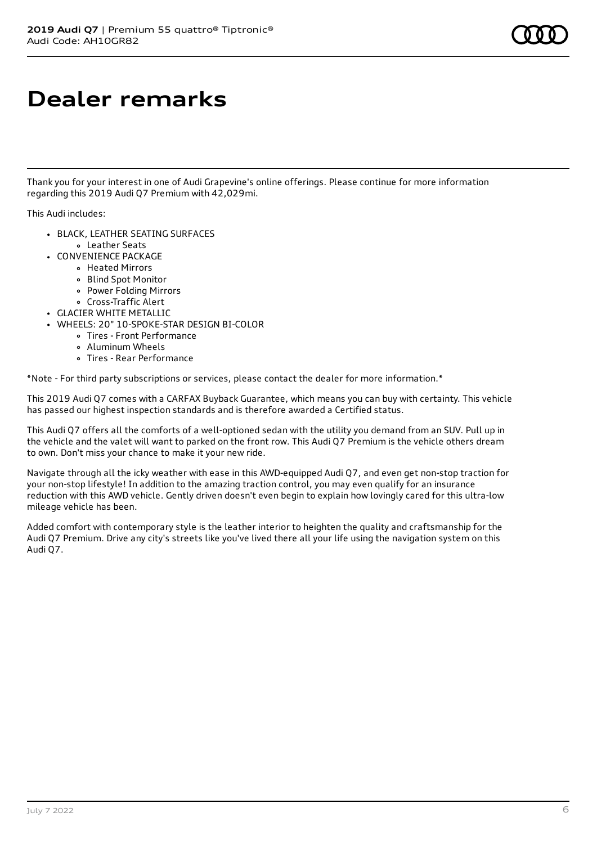## **Dealer remarks**

Thank you for your interest in one of Audi Grapevine's online offerings. Please continue for more information regarding this 2019 Audi Q7 Premium with 42,029mi.

This Audi includes:

- BLACK, LEATHER SEATING SURFACES Leather Seats
- CONVENIENCE PACKAGE
	- Heated Mirrors
	- Blind Spot Monitor
	- Power Folding Mirrors
	- Cross-Traffic Alert
- GLACIER WHITE METALLIC
- WHEELS: 20" 10-SPOKE-STAR DESIGN BI-COLOR
	- Tires Front Performance
	- Aluminum Wheels
	- Tires Rear Performance

\*Note - For third party subscriptions or services, please contact the dealer for more information.\*

This 2019 Audi Q7 comes with a CARFAX Buyback Guarantee, which means you can buy with certainty. This vehicle has passed our highest inspection standards and is therefore awarded a Certified status.

This Audi Q7 offers all the comforts of a well-optioned sedan with the utility you demand from an SUV. Pull up in the vehicle and the valet will want to parked on the front row. This Audi Q7 Premium is the vehicle others dream to own. Don't miss your chance to make it your new ride.

Navigate through all the icky weather with ease in this AWD-equipped Audi Q7, and even get non-stop traction for your non-stop lifestyle! In addition to the amazing traction control, you may even qualify for an insurance reduction with this AWD vehicle. Gently driven doesn't even begin to explain how lovingly cared for this ultra-low mileage vehicle has been.

Added comfort with contemporary style is the leather interior to heighten the quality and craftsmanship for the Audi Q7 Premium. Drive any city's streets like you've lived there all your life using the navigation system on this Audi Q7.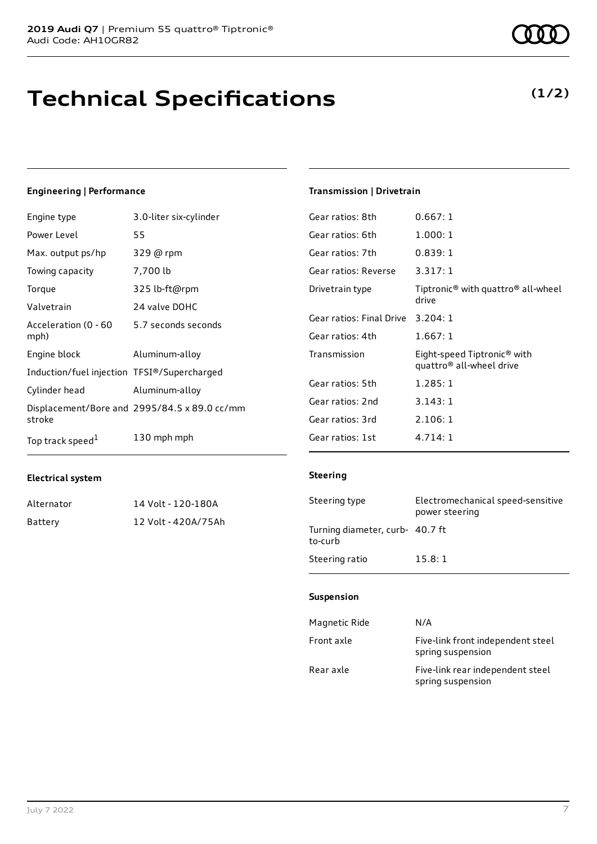### **Technical Specifications**

### **Engineering | Performance**

| Engine type                                 | 3.0-liter six-cylinder                       |
|---------------------------------------------|----------------------------------------------|
| Power Level                                 | 55                                           |
| Max. output ps/hp                           | 329 @ rpm                                    |
| Towing capacity                             | 7,700 lb                                     |
| Torque                                      | 325 lb-ft@rpm                                |
| Valvetrain                                  | 24 valve DOHC                                |
| Acceleration (0 - 60<br>mph)                | 5.7 seconds seconds                          |
| Engine block                                | Aluminum-alloy                               |
| Induction/fuel injection TFSI®/Supercharged |                                              |
| Cylinder head                               | Aluminum-alloy                               |
| stroke                                      | Displacement/Bore and 2995/84.5 x 89.0 cc/mm |
| Top track speed <sup>1</sup>                | 130 mph mph                                  |

### **Electrical system**

| Alternator | 14 Volt - 120-180A  |
|------------|---------------------|
| Battery    | 12 Volt - 420A/75Ah |

### **Transmission | Drivetrain**

| Gear ratios: 8th         | 0.667:1                                                                         |
|--------------------------|---------------------------------------------------------------------------------|
| Gear ratios: 6th         | 1.000:1                                                                         |
| Gear ratios: 7th         | 0.839:1                                                                         |
| Gear ratios: Reverse     | 3.317:1                                                                         |
| Drivetrain type          | Tiptronic <sup>®</sup> with quattro <sup>®</sup> all-wheel<br>drive             |
| Gear ratios: Final Drive | 3.204:1                                                                         |
| Gear ratios: 4th         | 1.667:1                                                                         |
| Transmission             | Eight-speed Tiptronic <sup>®</sup> with<br>quattro <sup>®</sup> all-wheel drive |
| Gear ratios: 5th         | 1.285:1                                                                         |
| Gear ratios: 2nd         | 3.143:1                                                                         |
| Gear ratios: 3rd         | 2.106:1                                                                         |
| Gear ratios: 1st         | 4.714:1                                                                         |

#### **Steering**

| Steering type                              | Electromechanical speed-sensitive<br>power steering |
|--------------------------------------------|-----------------------------------------------------|
| Turning diameter, curb- 40.7 ft<br>to-curb |                                                     |
| Steering ratio                             | 15.8:1                                              |

### **Suspension**

| Magnetic Ride | N/A                                                    |
|---------------|--------------------------------------------------------|
| Front axle    | Five-link front independent steel<br>spring suspension |
| Rear axle     | Five-link rear independent steel<br>spring suspension  |

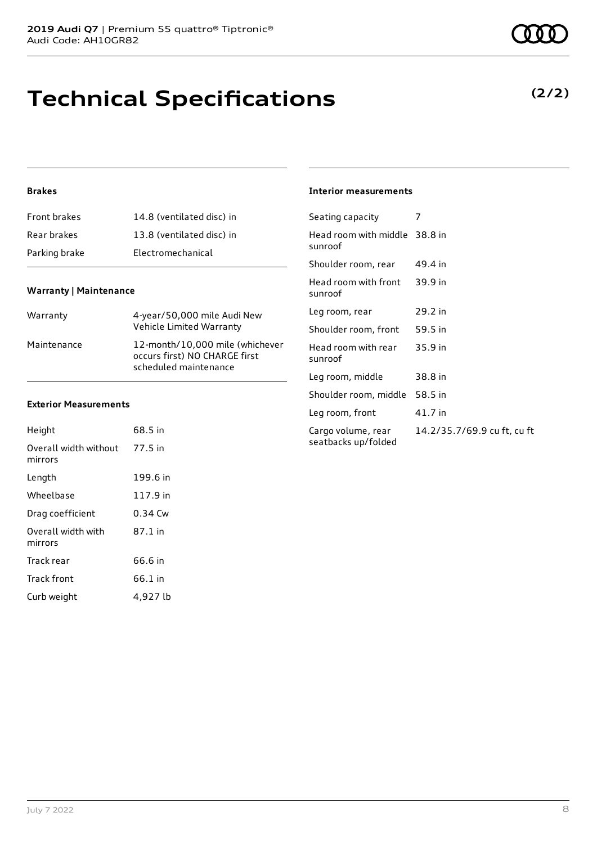### **Technical Specifications**

### **Brakes**

| Front brakes  | 14.8 (ventilated disc) in |
|---------------|---------------------------|
| Rear brakes   | 13.8 (ventilated disc) in |
| Parking brake | Electromechanical         |

### **Warranty | Maintenance**

| Warranty    | 4-year/50,000 mile Audi New<br>Vehicle Limited Warranty                                   |
|-------------|-------------------------------------------------------------------------------------------|
| Maintenance | 12-month/10,000 mile (whichever<br>occurs first) NO CHARGE first<br>scheduled maintenance |

#### **Exterior Measurements**

| Height                           | 68.5 in   |
|----------------------------------|-----------|
| Overall width without<br>mirrors | 77.5 in   |
| Length                           | 199.6 in  |
| Wheelbase                        | 117.9 in  |
| Drag coefficient                 | $0.34$ Cw |
| Overall width with<br>mirrors    | 87.1 in   |
| Track rear                       | 66.6 in   |
| Track front                      | 66.1 in   |
| Curb weight                      | 4,927 lb  |

### **Interior measurements**

| Head room with middle 38.8 in<br>sunroof                                 |  |
|--------------------------------------------------------------------------|--|
|                                                                          |  |
| Shoulder room, rear<br>49.4 in                                           |  |
| Head room with front<br>39.9 in<br>sunroof                               |  |
| 29.2 in<br>Leg room, rear                                                |  |
| 59.5 in<br>Shoulder room, front                                          |  |
| Head room with rear<br>35.9 in<br>sunroof                                |  |
| Leg room, middle<br>38.8 in                                              |  |
| Shoulder room, middle<br>58.5 in                                         |  |
| 41.7 in<br>Leg room, front                                               |  |
| 14.2/35.7/69.9 cu ft, cu ft<br>Cargo volume, rear<br>seatbacks up/folded |  |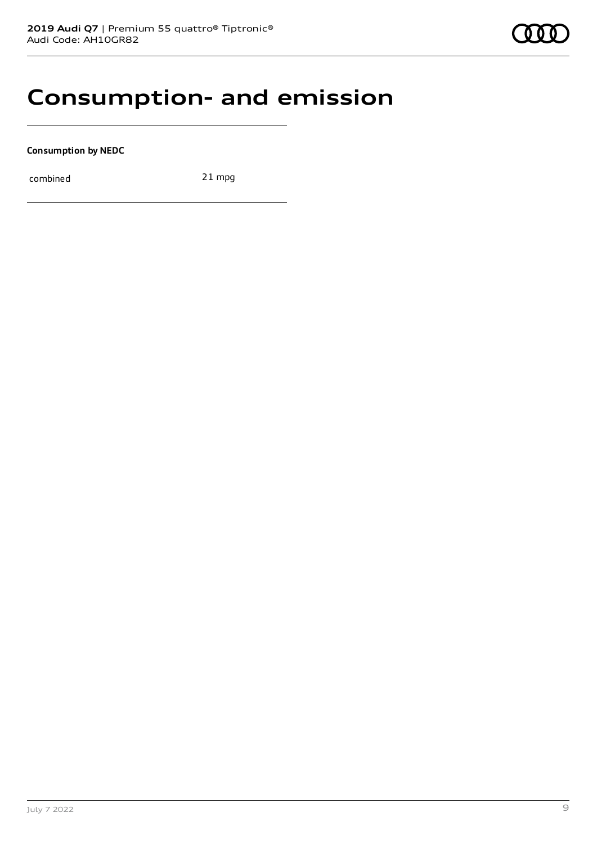### **Consumption- and emission**

**Consumption by NEDC**

combined 21 mpg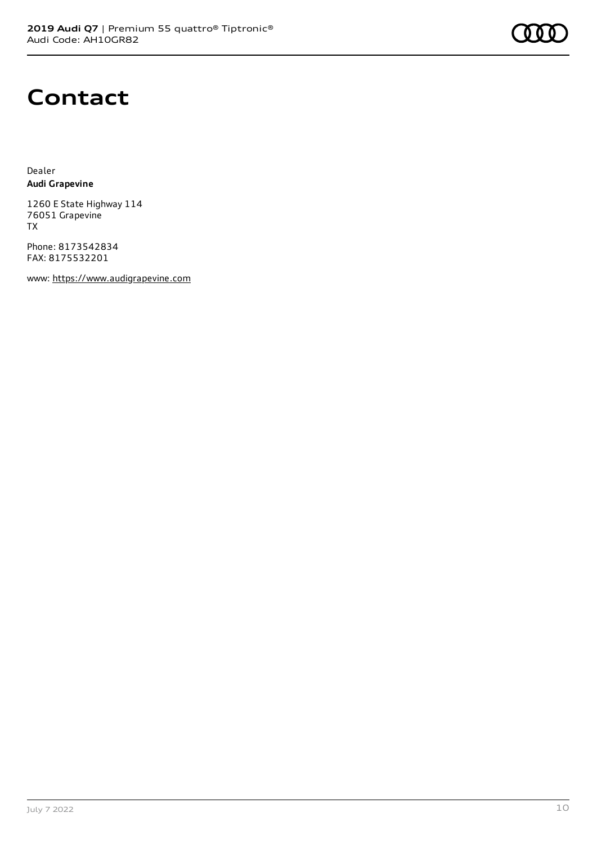# **Contact**

Dealer **Audi Grapevine**

1260 E State Highway 114 76051 Grapevine TX

Phone: 8173542834 FAX: 8175532201

www: [https://www.audigrapevine.com](https://www.audigrapevine.com/)